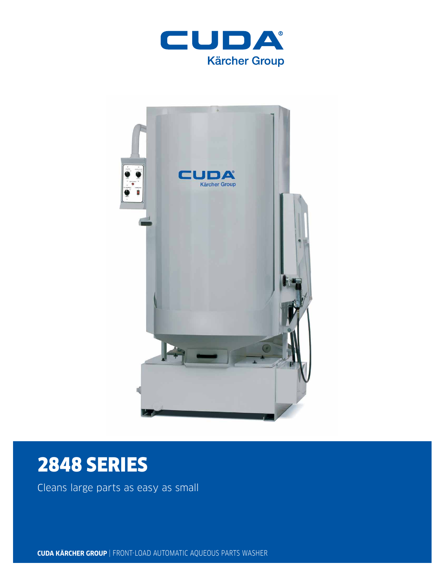



# 2848 SERIES

Cleans large parts as easy as small

**CUDA KÄRCHER GROUP** | FRONT-LOAD AUTOMATIC AQUEOUS PARTS WASHER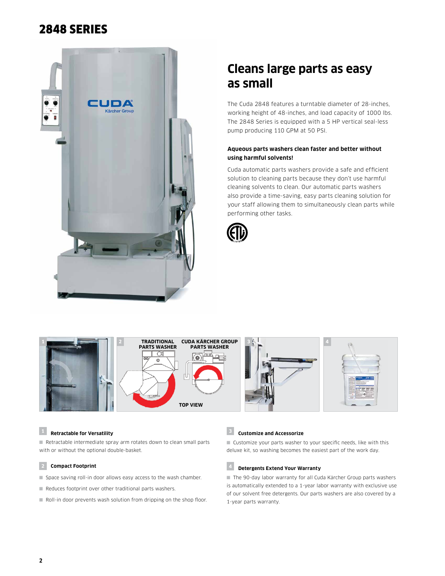# 2848 SERIES



# **Cleans large parts as easy as small**

The Cuda 2848 features a turntable diameter of 28-inches, working height of 48-inches, and load capacity of 1000 lbs. The 2848 Series is equipped with a 5 HP vertical seal-less pump producing 110 GPM at 50 PSI.

### **Aqueous parts washers clean faster and better without using harmful solvents!**

Cuda automatic parts washers provide a safe and efficient solution to cleaning parts because they don't use harmful cleaning solvents to clean. Our automatic parts washers also provide a time-saving, easy parts cleaning solution for your staff allowing them to simultaneously clean parts while performing other tasks.





### **<sup>1</sup> Retractable for Versatility**

■ Retractable intermediate spray arm rotates down to clean small parts with or without the optional double-basket.

#### **2 Compact Footprint**

- Space saving roll-in door allows easy access to the wash chamber.
- Reduces footprint over other traditional parts washers.
- Roll-in door prevents wash solution from dripping on the shop floor.

# **<sup>3</sup> Customize and Accessorize**

■ Customize your parts washer to your specific needs, like with this deluxe kit, so washing becomes the easiest part of the work day.

# **<sup>4</sup> Detergents Extend Your Warranty**

■ The 90-day labor warranty for all Cuda Kärcher Group parts washers is automatically extended to a 1-year labor warranty with exclusive use of our solvent free detergents. Our parts washers are also covered by a 1-year parts warranty.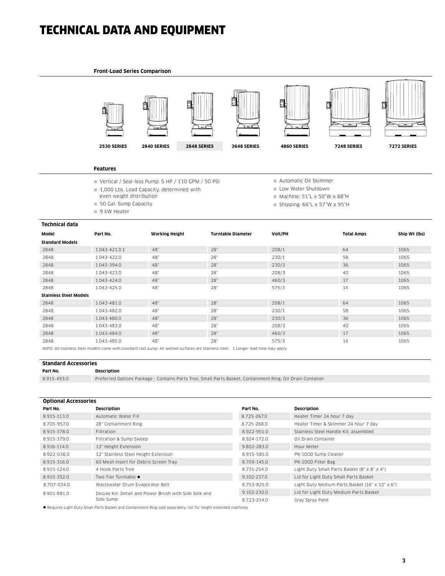# TECHNICAL DATA AND EQUIPMENT

#### **Front-Load Series Comparison**



#### **Features**

- Vertical / Seal-less Pump: 5 HP / 110 GPM / 50 PSI
- 1,000 Lbs. Load Capacity, determined with
- even weight distribution
- 50 Gal. Sump Capacity
- 9 kW Heater
- Automatic Oil Skimmer
- Low Water Shutdown
- $M$ Machine: 51"L x 50"W x 88"H
- Shipping:  $66"L \times 57"W \times 95"H$

| Technical data                                                                                                                      |                            |                       |                           |         |                   |               |  |  |
|-------------------------------------------------------------------------------------------------------------------------------------|----------------------------|-----------------------|---------------------------|---------|-------------------|---------------|--|--|
| Model                                                                                                                               | Part No.                   | <b>Working Height</b> | <b>Turntable Diameter</b> | Volt/PH | <b>Total Amps</b> | Ship Wt (lbs) |  |  |
| <b>Standard Models</b>                                                                                                              |                            |                       |                           |         |                   |               |  |  |
| 2848                                                                                                                                | $1.043 - 421.0 \downarrow$ | 48"                   | 28"                       | 208/1   | 64                | 1065          |  |  |
| 2848                                                                                                                                | 1.043-422.0                | 48"                   | 28"                       | 230/1   | 58                | 1065          |  |  |
| 2848                                                                                                                                | 1.043-394.0                | 48"                   | 28"                       | 230/3   | 36                | 1065          |  |  |
| 2848                                                                                                                                | 1.043-423.0                | 48"                   | 28"                       | 208/3   | 40                | 1065          |  |  |
| 2848                                                                                                                                | 1.043-424.0                | 48"                   | 28"                       | 460/3   | 17                | 1065          |  |  |
| 2848                                                                                                                                | 1.043-425.0                | 48"                   | 28"                       | 575/3   | 14                | 1065          |  |  |
| <b>Stainless Steel Models</b>                                                                                                       |                            |                       |                           |         |                   |               |  |  |
| 2848                                                                                                                                | 1.043-481.0                | 48"                   | 28"                       | 208/1   | 64                | 1065          |  |  |
| 2848                                                                                                                                | 1.043-482.0                | 48"                   | 28"                       | 230/1   | 58                | 1065          |  |  |
| 2848                                                                                                                                | 1.043-480.0                | 48"                   | 28"                       | 230/3   | 36                | 1065          |  |  |
| 2848                                                                                                                                | 1.043-483.0                | 48"                   | 28"                       | 208/3   | 40                | 1065          |  |  |
| 2848                                                                                                                                | 1.043-484.0                | 48"                   | 28"                       | 460/3   | 17                | 1065          |  |  |
| 2848                                                                                                                                | 1.043-485.0                | 48"                   | 28"                       | 575/3   | 14                | 1065          |  |  |
| NOTE: All stainless steel models come with standard cast nump. All wetted surfaces are stainless steel + Longer lead time may apply |                            |                       |                           |         |                   |               |  |  |

NOTE: All stainless steel models come with standard cast pump. All wetted surfaces are stainless steel. ‡ Longer lead time may apply.

### **Standard Accessories**

**Part No. Description**

8.915-493.0 Preferred Options Package - Contains Parts Tree, Small Parts Basket, Containment Ring, Oil-Drain Container

| <b>Optional Accessories</b> |                                                       |             |                                                 |  |  |  |
|-----------------------------|-------------------------------------------------------|-------------|-------------------------------------------------|--|--|--|
| Part No.                    | Description                                           | Part No.    | <b>Description</b>                              |  |  |  |
| 8.915-113.0                 | Automatic Water Fill                                  | 8.725-267.0 | Heater Timer 24 hour 7 day                      |  |  |  |
| 8.705-957.0                 | 28" Containment Ring                                  | 8.725-268.0 | Heater Timer & Skimmer 24 hour 7 day            |  |  |  |
| 8.915-378.0                 | Filtration                                            | 8.922-951.0 | Stainless Steel Handle Kit, assembled           |  |  |  |
| 8.915-379.0                 | Filtration & Sump Sweep                               | 8.924-172.0 | Oil Drain Container                             |  |  |  |
| 8.916-114.0                 | 12" Height Extension                                  | 9.802-283.0 | Hour Meter                                      |  |  |  |
| 8.922-036.0                 | 12" Stainless Steel Height Extension                  | 8.915-585.0 | PK-100D Sump Cleaner                            |  |  |  |
| 8.915-316.0                 | 60 Mesh Insert for Debris Screen Tray                 | 8.709-145.0 | PK-100D Filter Bag                              |  |  |  |
| 8.915-124.0                 | 4 Hook Parts Tree                                     | 8.731-254.0 | Light Duty Small Parts Basket (8" x 8" x 4")    |  |  |  |
| 8.915-352.0                 | Two-Tier Turntable ●                                  | 9.102-237.0 | Lid for Light Duty Small Parts Basket           |  |  |  |
| 8.707-034.0                 | Wastewater Drum Evaporator Belt                       | 8.753-825.0 | Light Duty Medium Parts Basket (16" x 12" x 6") |  |  |  |
| 8.901-881.0                 | Deluxe Kit: Detail and Power Brush with Side Sink and | 9.102-230.0 | Lid for Light Duty Medium Parts Basket          |  |  |  |
|                             | Side Sump                                             | 8.723-214.0 | Gray Spray Paint                                |  |  |  |

l Requires Light Duty Small Parts Basket and Containment Ring sold separately, not for height extended machines